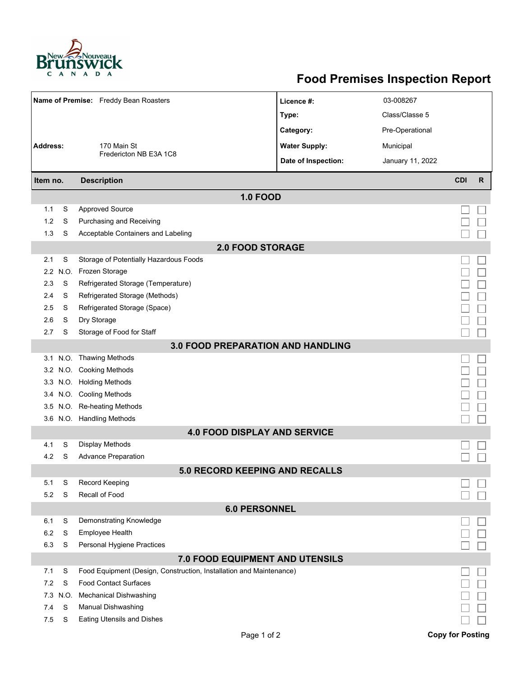

## **Food Premises Inspection Report**

|                                          |      | Name of Premise: Freddy Bean Roasters                               | Licence #:           | 03-008267        |                         |              |  |  |  |  |
|------------------------------------------|------|---------------------------------------------------------------------|----------------------|------------------|-------------------------|--------------|--|--|--|--|
|                                          |      |                                                                     | Type:                | Class/Classe 5   |                         |              |  |  |  |  |
|                                          |      |                                                                     | Category:            | Pre-Operational  |                         |              |  |  |  |  |
| <b>Address:</b>                          |      | 170 Main St                                                         | <b>Water Supply:</b> | Municipal        |                         |              |  |  |  |  |
|                                          |      | Fredericton NB E3A 1C8                                              | Date of Inspection:  |                  |                         |              |  |  |  |  |
|                                          |      |                                                                     |                      | January 11, 2022 |                         |              |  |  |  |  |
| Item no.                                 |      | <b>Description</b>                                                  |                      |                  | <b>CDI</b>              | $\mathsf{R}$ |  |  |  |  |
|                                          |      | <b>1.0 FOOD</b>                                                     |                      |                  |                         |              |  |  |  |  |
| 1.1                                      | S    | <b>Approved Source</b>                                              |                      |                  |                         |              |  |  |  |  |
| 1.2                                      | S    | Purchasing and Receiving                                            |                      |                  |                         |              |  |  |  |  |
| 1.3                                      | S    | Acceptable Containers and Labeling                                  |                      |                  |                         |              |  |  |  |  |
| <b>2.0 FOOD STORAGE</b>                  |      |                                                                     |                      |                  |                         |              |  |  |  |  |
| 2.1                                      | S    | Storage of Potentially Hazardous Foods                              |                      |                  |                         |              |  |  |  |  |
| 2.2                                      | N.O. | Frozen Storage                                                      |                      |                  |                         |              |  |  |  |  |
| 2.3                                      | S    | Refrigerated Storage (Temperature)                                  |                      |                  |                         |              |  |  |  |  |
| 2.4                                      | S    | Refrigerated Storage (Methods)                                      |                      |                  |                         |              |  |  |  |  |
| 2.5                                      | S    | Refrigerated Storage (Space)                                        |                      |                  |                         |              |  |  |  |  |
| 2.6                                      | S    | Dry Storage                                                         |                      |                  |                         |              |  |  |  |  |
| 2.7                                      | S    | Storage of Food for Staff                                           |                      |                  |                         |              |  |  |  |  |
| <b>3.0 FOOD PREPARATION AND HANDLING</b> |      |                                                                     |                      |                  |                         |              |  |  |  |  |
|                                          |      | 3.1 N.O. Thawing Methods                                            |                      |                  |                         |              |  |  |  |  |
| 3.2                                      |      | N.O. Cooking Methods                                                |                      |                  |                         |              |  |  |  |  |
| 3.3 <sub>1</sub>                         |      | N.O. Holding Methods                                                |                      |                  |                         |              |  |  |  |  |
| 3.4                                      |      | N.O. Cooling Methods                                                |                      |                  |                         |              |  |  |  |  |
| 3.5                                      |      | N.O. Re-heating Methods                                             |                      |                  |                         |              |  |  |  |  |
|                                          |      | 3.6 N.O. Handling Methods                                           |                      |                  |                         |              |  |  |  |  |
|                                          |      | <b>4.0 FOOD DISPLAY AND SERVICE</b>                                 |                      |                  |                         |              |  |  |  |  |
| 4.1                                      | S    | Display Methods<br><b>Advance Preparation</b>                       |                      |                  |                         |              |  |  |  |  |
| 4.2                                      | S    |                                                                     |                      |                  |                         |              |  |  |  |  |
| 5.1                                      | S    | <b>5.0 RECORD KEEPING AND RECALLS</b><br>Record Keeping             |                      |                  |                         |              |  |  |  |  |
|                                          | S    | Recall of Food                                                      |                      |                  |                         |              |  |  |  |  |
| 5.2<br><b>6.0 PERSONNEL</b>              |      |                                                                     |                      |                  |                         |              |  |  |  |  |
| 6.1                                      | S    | Demonstrating Knowledge                                             |                      |                  |                         |              |  |  |  |  |
| 6.2                                      | S    | Employee Health                                                     |                      |                  |                         |              |  |  |  |  |
| 6.3                                      | S    | Personal Hygiene Practices                                          |                      |                  |                         |              |  |  |  |  |
|                                          |      | 7.0 FOOD EQUIPMENT AND UTENSILS                                     |                      |                  |                         |              |  |  |  |  |
| 7.1                                      | S    | Food Equipment (Design, Construction, Installation and Maintenance) |                      |                  |                         |              |  |  |  |  |
| 7.2                                      | S    | <b>Food Contact Surfaces</b>                                        |                      |                  |                         |              |  |  |  |  |
| 7.3                                      | N.O. | <b>Mechanical Dishwashing</b>                                       |                      |                  |                         |              |  |  |  |  |
| 7.4                                      | S    | Manual Dishwashing                                                  |                      |                  |                         |              |  |  |  |  |
| 7.5                                      | S    | <b>Eating Utensils and Dishes</b>                                   |                      |                  |                         |              |  |  |  |  |
|                                          |      | Page 1 of 2                                                         |                      |                  | <b>Copy for Posting</b> |              |  |  |  |  |